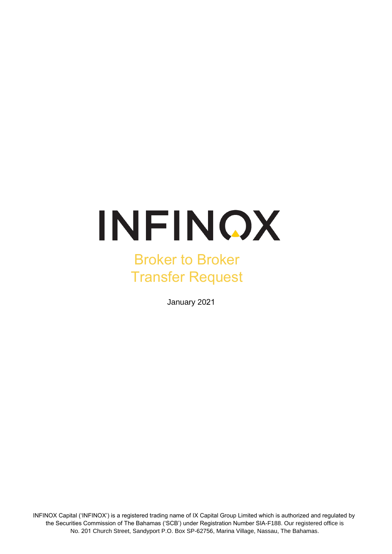# INFINOX

# Broker to Broker Transfer Request

January 2021

INFINOX Capital ('INFINOX') is a registered trading name of IX Capital Group Limited which is authorized and regulated by the Securities Commission of The Bahamas ('SCB') under Registration Number SIA-F188. Our registered office is No. 201 Church Street, Sandyport P.O. Box SP-62756, Marina Village, Nassau, The Bahamas.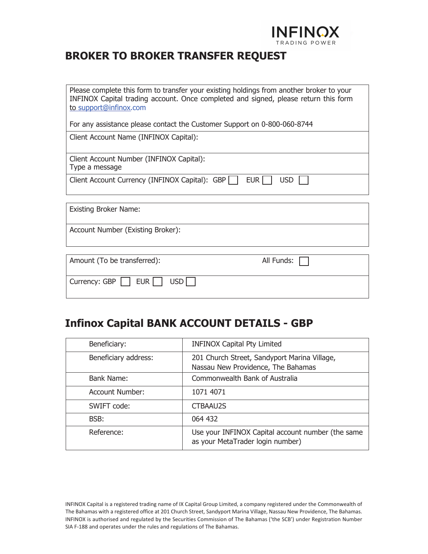

#### **BROKER TO BROKER TRANSFER REQUEST**

| Please complete this form to transfer your existing holdings from another broker to your<br>INFINOX Capital trading account. Once completed and signed, please return this form<br>to support@infinox.com |  |  |
|-----------------------------------------------------------------------------------------------------------------------------------------------------------------------------------------------------------|--|--|
| For any assistance please contact the Customer Support on 0-800-060-8744                                                                                                                                  |  |  |
| Client Account Name (INFINOX Capital):                                                                                                                                                                    |  |  |
| Client Account Number (INFINOX Capital):<br>Type a message                                                                                                                                                |  |  |
| Client Account Currency (INFINOX Capital): GBP<br>EUR  <br><b>USD</b>                                                                                                                                     |  |  |
| <b>Existing Broker Name:</b>                                                                                                                                                                              |  |  |
|                                                                                                                                                                                                           |  |  |
| Account Number (Existing Broker):                                                                                                                                                                         |  |  |
|                                                                                                                                                                                                           |  |  |
| Amount (To be transferred):<br>All Funds:                                                                                                                                                                 |  |  |
| <b>EUR</b><br><b>USD</b><br>Currency: GBP                                                                                                                                                                 |  |  |

#### **Infinox Capital BANK ACCOUNT DETAILS - GBP**

| Beneficiary:           | <b>INFINOX Capital Pty Limited</b>                                                    |
|------------------------|---------------------------------------------------------------------------------------|
| Beneficiary address:   | 201 Church Street, Sandyport Marina Village,<br>Nassau New Providence, The Bahamas    |
| Bank Name:             | Commonwealth Bank of Australia                                                        |
| <b>Account Number:</b> | 1071 4071                                                                             |
| SWIFT code:            | <b>CTBAAU2S</b>                                                                       |
| BSB:                   | 064 432                                                                               |
| Reference:             | Use your INFINOX Capital account number (the same<br>as your MetaTrader login number) |

INFINOX Capital is a registered trading name of IX Capital Group Limited, a company registered under the Commonwealth of The Bahamas with a registered office at 201 Church Street, Sandyport Marina Village, Nassau New Providence, The Bahamas. INFINOX is authorised and regulated by the Securities Commission of The Bahamas ('the SCB') under Registration Number SIA F-188 and operates under the rules and regulations of The Bahamas.